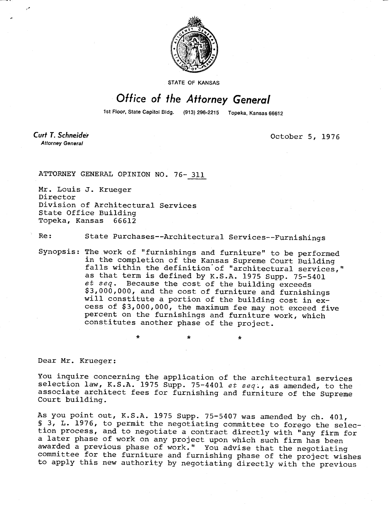

STATE OF KANSAS

## Office of the Attorney General

1st Floor, State Capitol Bldg. (913) 296-2215 Topeka, Kansas 66612

**Curt T. Schneider Attorney General** 

October 5, 1976

ATTORNEY GENERAL OPINION NO. 76- 311

Mr. Louis J. Krueger Director Division of Architectural Services State Office Building Topeka, Kansas 66612

Re: State Purchases--Architectural Services--Furnishings

Synopsis: The work of "furnishings and furniture" to be performed in the completion of the Kansas Supreme Court Building falls within the definition of "architectural services," as that term is defined by K.S.A. 1975 Supp. 75-5401 et seq. Because the cost of the building exceeds \$3,000,000, and the cost of furniture and furnishings will constitute a portion of the building cost in excess of \$3,000,000, the maximum fee may not exceed five percent on the furnishings and furniture work, which constitutes another phase of the project.

Dear Mr. Krueger:

You inquire concerning the application of the architectural services selection law, K.S.A. 1975 Supp. 75-4401 et seq., as amended, to the associate architect fees for furnishing and furniture of the Supreme Court building.

As you point out, K.S.A. 1975 Supp. 75-5407 was amended by ch. 401, § 3, L. 1976, to permit the negotiating committee to forego the selection process, and to negotiate a contract directly with "any firm for a later phase of work on any project upon which such firm has been awarded a previous phase of work." You advise that the negotiating committee for the furniture and furnishing phase of the project wishes to apply this new authority by negotiating directly with the previous